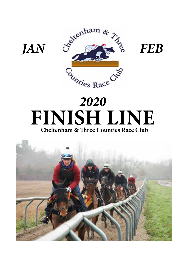

# *2020*  **FINISH LINE Cheltenham & Three Counties Race Club**

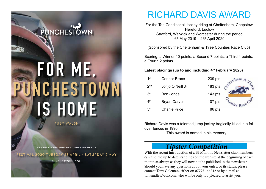

**RUBY WALSH**

**BE PART OF THE PUNCHESTOWN EXPERIENCE**

**FESTIVAL 2020 TUESDAY 28 APRIL – SATURDAY 2 MAY** 

**PUNCHESTOWN.COM**

# RICHARD DAVIS AWARD

For the Top Conditional Jockey riding at Cheltenham, Chepstow, Hereford, Ludlow Stratford, Warwick and Worcester during the period  $6<sup>th</sup>$  May 2019 – 26<sup>th</sup> April 2020

(Sponsored by the Cheltenham &Three Counties Race Club)

Scoring: a Winner 10 points, a Second 7 points, a Third 4 points, a Fourth 2 points.

#### Latest placings (up to and including 4<sup>th</sup> February 2020)

| 1st             | <b>Connor Brace</b>  | $239$ pts | tenham.                   |
|-----------------|----------------------|-----------|---------------------------|
| 2 <sub>nd</sub> | Jonjo O'Neill Jr     | 183 pts   |                           |
| 3 <sup>rd</sup> | <b>Ben Jones</b>     | $143$ pts |                           |
| 4 <sup>th</sup> | <b>Bryan Carver</b>  | 107 pts   | Unties Race <sup>CV</sup> |
| 5 <sup>th</sup> | <b>Charlie Price</b> | 86 pts    |                           |

Richard Davis was a talented jump jockey tragically killed in a fall over fences in 1996.

This award is named in his memory.

## *Tipster Competition*

With the recent introduction of a Bi-Monthly Newsletter club members can find the up to date standings on the website at the beginning of each month as always as they will now not be published in the newsletter. Should you have any questions about your entry, or its status, please contact Tony Coleman, either on 07795 146242 or by e-mail at tonyandles@aol.com, who will be only too pleased to assist you.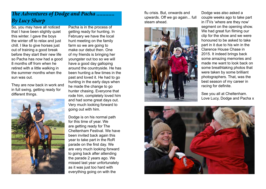## *The Adventures of Dodge and Pacha ............ By Lucy Sharp*

So, you may have all noticed that I have been slightly quiet this winter. I gave the boys the winter off to relax and just chill. I like to give horses just out of training a good break before they start their new life so Pacha has now had a good 8 months off from when he retired with a little walking in the summer months when the sun was out.

They are now back in work and in full swing, getting ready for different things.



Pacha is in the process of getting ready for hunting. In February we have the local hunt meeting on the family farm so we are going to make our debut then. One of my friends is bringing her youngster out too so we will have a good day galloping around the countryside. He has been hunting a few times in the past and loved it. He had to go hunting in the early days when he made the change to go hunter chasing. Everyone that rode him, completely loved him and had some great days out. Very much looking forward to going out with him.

Dodge is on his normal path for this time of year. We are getting ready for The Cheltenham Festival. We have been invited back again this year to take part in the RoR parade on the first day. We are very much looking forward to going back after attending the parade 2 years ago. We missed last year unfortunately as it was just too hard with everything going on with the

flu crisis. But, onwards and upwards. Off we go again... full steam ahead.



Dodge was also asked a couple weeks ago to take part in ITVs 'where are they now' segment on the opening show. We had great fun filming our clip for the show and we were honoured to be asked to take part in it due to his win in the Clarence House Chase in 2015. It indeed brings back some amazing memories and made me want to look back on some breathtaking photos that were taken by some brilliant photographers. That, was the best season of my career in racing for definite.

See you all at Cheltenham. Love Lucy, Dodge and Pacha x

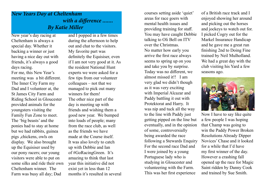## *New Years Day at Cheltenham with a difference ....... By Katie Miller*

New year's day racing at Cheltenham is always a special day. Whether it backing a winner or just having a nice day out with friends, it's always a good days racing.

For me, this New Year's meeting was a bit different. The Inner City Farm my Dad and I volunteer at, the St James City Farm and Riding School in Gloucester provided animals for the youngsters visiting the Family Fun Zone to meet. The 'big beasts' and the ponies had to stay at home but we had rabbits, guinea pigs ,chickens, owls on display. We also brought up the Equisiser used by our pony racers; our young visitors were able to put on some silks and ride their own Cheltenham winner. The Farm was busy all day; Dad

and I popped in a few times during the afternoon to help out and chat to the visitors. My favorite part was definitely the Equisiser, even if I am not very good at it. As the resident National Hunt experts we were asked for a few tips from our volunteer colleagues – not that we managed to pick out many winners for them! The other nice part of the day is meeting up with friends and wishing them a good new year. We bumped into loads of people; many from the race club, as well as the friends we have made at the Course itself. It was also lovely to catch up with Debbie and Ian of #GoRacingGreen. It's amazing to think that last year this initiative did not exist yet in less than 12 months it's resulted in several

courses setting aside 'quiet' areas for race goers with mental health issues and providing training for staff. You may have caught Debbie talking to Oli Bell on ITV over the Christmas. No matter how early you arrive the first race always seems to spring up on you and take you by surprise. Today was no different, we almost missed it!! I am very glad we didn't though as it was very exciting with Imperial Alcazar and Paddy battling it out with Protektorat and Harry. It was nip and tuck all the way to the line with Paddy just getting pipped on the line but eventually, and in the opinion of some, controversially being awarded the race following a Stewards Enquiry For the second race Dad and I were joined by a young Portuguese lady who is studying in Gloucester and volunteering with the Farm. This was her first experience

of a British race track and I enjoyed showing her around and picking out the horses and jockeys to watch out for. I picked Cogry out for the Markel Insurance Handicap and he gave me a great run finishing 2nd to Doing Fine trained by Neil Mulholland. We had a great day with the club visiting his Yard a few seasons ago.



Now I have to say like quite a few people I was hoping that Champ was going to win the Paddy Power Broken Resolutions Already Dipper Novices' Chase and it looked for a while that I'd have my first winner of the day. However a crashing fall opened up the race for Magic Saint ridden by Danny Cook and trained by Sue Smith.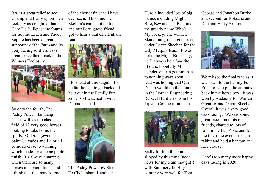It was a great relief to see Champ and Barry up on their feet. I was delighted that Garo De Juilley came fourth for Sophie Leach and Paddy. Sophie has been a great supporter of the Farm and its pony racing so it's always great to see them back in the Winners Enclosure.



So onto the fourth, The Paddy Power Handicap Chase with as top class field of 12 very good horses looking to take home the spoils. Oldgrangewood, Saint Calvados and Lalor all come so close to winning, which made for an epic photo finish. It's always amazing when there are so many horses in a photo finish and I think that that may be one

of the closest finishes I have ever seen. This time the Skelton's came out on top and our Portuguese friend got to hear a real Cheltenham roar.



I lost Dad at this stage!! To be fair he had to go back and help out in the Family Fun Zone, so I watched it with Debbie instead.



The Paddy Power 69 Sleeps To Cheltenham Handicap

Hurdle included lots of big names including Might Bite, Beware The Bear and the greatly name Who's My Jockey. The winner, Skandiburg, ran a good race under Gavin Sheehan for the Olly Murphy team. It was not to be Might Bite's day; he'll always be a favorite of ours; hopefully Mr Henderson can get him back to winning ways soon. Dad was hoping that Quel Destin would do the honors in the Dornan Engineering Relkeel Hurdle as its in his Tipster Competition team.



Sadly for him the points slipped by this time (good news for my team though!!) with Summerville Boy winning very well for Tom

George and Jonathon Burke and second for Roksana and Dan and Harry Skelton.



We missed the final race as it was back to the Family Fun Zone to help put the animals back in the horse box. It was won by Audacity for Warren Greatrex and Gavin Sheehan. Overall it was a very good days racing. We saw some great races, met lots of friends, chatted to lots of folk in the Fun Zone and for the first time ever stroked a rabbit and held a bantam at a race course!

Here's too many more happy days racing in 2020.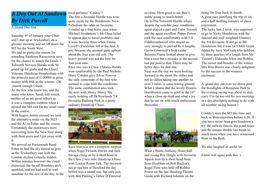## *A Day Out At Sandown By Dick Purcell*

A Grand Day Out

Saturday 4<sup>th</sup> of January your Chair and I met up at Tewkesbury on a gloomy morning and set off down the M5 for the South West. We had no particular reason for attending Sandown Racecourse save for the chance to watch the Grade 1 Tolworth Novices Hurdle with 50 grand up for grabs and the Class2 Veterans Handicap Steeplechase with the princely sum of £100000 in prize money with 46K to the winner. OK ,reason enough I think. As the few who know me, and the many who know Sarah will vouch, neither of us are good talkers so it was a complete surprise when I missed the M4 exit for my usual route to the course.

With fingers firmly crossed we took the alternative route via the M25 and the A3 to Esher and the course. Fortunately the motorways were recovering from the New Year along with their users and I got away with it.

We arrived on Portsmouth Road Esher to find the sky almost as grey as the Tewkesbury one with the London skyline virtually hidden. Within minutes however the cloud dispersed, the far off Wembley arch sparkled, and we had wall to wall sunshine for the rest of the day, in the local parlance "Cushty"!. The first a Juvenile Hurdle was won quite easily by the Henderson/ Nico Palladium the odds on favourite. It ended up a four horse race when Michael Scudamore's Mr Chua failed to appear due to travel problems and it soon became three when Emma Lovell's Zarafshan fell at the first. A pity because she seemed quite upbeat about the four year old colt. The heavy ground was not the best for four year olds.

Race two was a Class 1 Mares Hurdle won comfortably by the Paul Nichols/ Harry Cobden grey Silver Forever the only contestant of the four who seemed to cope with the conditions. The same combination also took the next with Mercy Mercy Me easily holding off Dr Newlands 7/4 favourite Dashing Perk in a pretty ordinary Handicap Chase.



Race four was not a complete surprise when Nigel Twiston-Davies and Jack Savage clung on by a short head in the Class 2 two mile Handicap Chase with Locker Room Talk. The decision not to run him at Hereford the day before was a sound one, but only just, with Ben Pauling's Delire D'Estruval

so close. How good to see Ben's stable going so much better. On to The Tolworth Hurdle where despite the sensible pace conditions again played a part and Colin Tizzard and the again excellent Puppy Power took the race comfortably with 5/4 Fiddlerontheroof who stayed on very strongly to prevail by 6 lengths. Gavin Cromwell's Irish raider Jeremys Flame looked about to give him a race but a mistake at the second last put paid to that. There may be better days for that one. Next was the one we were looking forward to the most, the oldies and not so oldies taking one another on over 3 miles in some testing ground. What a shame that the lovely Horatio Hornblower came to grief at the 16<sup>th</sup> when a close up third and what a joy



that he ran on with much enthusiasm

thereafter.

What a finish, Anthony Honeyball and young Rex Dingle with favourite Jepeck won by a short head from Sean Houlihan on Bob Bucker's Regal Flow who held off Robbie Power on the fast finishing Theatre Guide with Richard Johnson on the

tiring On Tour back in fourth. A great race justifying the trip in six and a half thrilling minutes of sheer enjoyment.

The lucky last ,I wish, was supposed to go to Nicky Henderson with the fancied and well weighted Gunnery the 9/4 favourite. It did go to Mr Henderson but it was 14/1 Mill Green ridden by Jerry McGrath who held on by three quarters of a length from Mr Tizzard's Eldorado Allen and Robbie. The owner and breeder of the winner Mrs Rita Brown was clearly delighted by the success in the winners enclosure.

A grand day out over we drove past the floodlights of Kempton Park as the evening racing was about to start, sorry I'm far too old for two meetings in a day,absolutely nothing to do with all weather racing honest !.

Couldn't miss the M3 this time and back in Worcestershire before 6.30, if you have never been give Sandown a try, the railway fences, the pond fence and the unique double last mean so much more when you have witnessed them in the flesh.

We also laughed an awful lot.

Editor will agree with this :)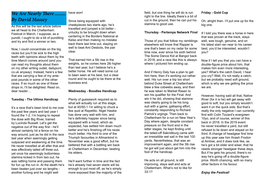### *We Are Nearly There ........ By David Massey*

As this will be the last article before we all head to the Cheltenham Festival in March, I suppose, as a pundit, I ought to do a bit of punditing and try and find a winner or two.

Now, I could concentrate on the big races but you'll be sick to the high teeth with opinions about them by the time March comes around (and you can read my thoughts about them on my other writing outlet, dailypunt. co.uk anyway). Instead, here's a few that are carrying a few of my antepost pounds in some of the other races. If so much as one of these drops in, I'll be delighted. Read on, dear reader…

#### **Tuesday - The Ultima Handicap**

It's a race that's been kind to me over the past few years and last year I found the 1-2. I'm hoping to repeat the dose with Big River, trained by Lucinda Russell. Let's get the negative out of the way first - he'll almost certainly hit a fence on his way around, just as he did in the race last year when seemingly getting outpaced and weakening at the time. He never travelled at all after that and was effectively tailed off three out, yet once his seemingly bottomless stamina kicked in from two out, he was rattling home and passing them for fun up the run in. At the death he's been beaten just over six lengths another furlong and he might well

have won!

#### Since being equipped with cheekpieces two starts ago, he's travelled and jumped a lot better unlucky to be brought down when cantering in the Borders National at Kelso and then making no mistake back there last time out, staying on well to beat Ami Desbois, the pair clear.

That earned him a 5lb rise in the weights, so he comes here 2lb higher than last year, but I believe he's a better horse. He will need some cut to been seen at his best, but a clear round and he ought to be there at the business end.

#### **Wednesday - Boodles Handicap**

Plenty of guesswork required as to what will actually run at this stage, but at 40/50-1 I'm willing to chuck a few quid at Repetitio. Nigel Hawke has done very well with him, and he's definitely happier since being equipped with a hood, which as expected, has settled him down much better and he's finishing off his races much better. His third to one of the Triumph favourites in Allmankind in November was a good effort, but he bettered that with a battling win back at Cheltenham in December, beating his elders.

He'll want further in time and the fact he's already had seven starts will be enough to put most off, as he's simply more exposed than the majority of the

field, but one thing he will do is run right to the line. Ideally there's a bit of cut in the ground, then he can put his stamina to good use.

#### **Thursday - Pertemps Network Final**

Those of you that follow my ramblings elsewhere will know that Rapper is one that's been on my radar for some time now, ever since his sixth behind The Some Dance Kid at Bangor back in 2018, and a race like this is always where I pictured him ending up.

And if Henry Daly has a plan to get him here, then it's working out rather well. His run over a trip too short behind Duke Street at Cheltenham blew a few cobwebs away, and then he was taken to Market Rasen to win his qualifier for the Final. And win it he did, showing that stamina was clearly going to be his long suit with a game, galloping effort, constantly responding to Richard Patrick's urgings. Then back to Cheltenham for a run on New Year's Day where again, despite constant pressure on the front end in the latter stages, he kept finding until the tailed-off Sakndiburg came with an irresistible wet sail in the last 100 yards. Nevertheless, that was an improvement again, and the 3lb rise he got will just about get him into the foot of the handicap.

He acts on all ground, is still improving, stays well and acts at Cheltenham. What's not to like for 33-1?

#### **Friday - Gold Cup**

Oh, alright then. I'll put one up for the big one.

If I told you there was a horse in here that was proven at the track, stays well, was tough, genuine, and on his latest start ran near to his career best, you'd be interested, wouldn't you?

Now if I tell you that you can have a double-figure price about him, that makes him even more interesting, yes? What's the catch David, I hear you cry? Well, it's not really a catch, but we probably need soft ground. which is why we are getting the price we are.

However, having said all that, Native River (for it is he) will get away with good to soft, but you simply wouldn't want it on the quick side. But that's really the only negative I can currently find with Colin Tizzard's evergreen 10yo, and of course, winner of this back in 2018. In the 2019 event he never travelled a yard, but still refused to lie down and stayed on for third. A change of headgear first time up this year saw him thrash Frodon at Aintree, and it does look like, as he's got a bit older and wiser, that he needs stronger headgear these days. But if he gets his ground, there's no way he's going off a double-figure price. Worth chancing, with so many other factors in his favour.

#### *Enjoy the Festival!*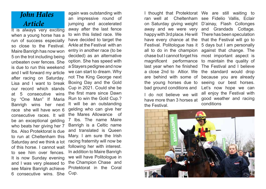# *John Hales Article*

It is always very exciting when a young horse has a run of success especially so close to the Festival. Maire Banrigh has now won 5 on the trot including being unbeaten over fences. She is due to run this weekend and I will forward my article after racing on Saturday. Lisa and I want to break our record which stands at 5 consecutive wins by "One Man" If Maria Banrigh wins her next race she will have won 6 consecutive races. It will be an exceptional gelding who beats her giving her 7 lbs. Also Protektorat is due to run at Cheltenham this Saturday and we think a lot of this horse. I cannot wait to see him over fences. It is now Sunday evening and I was very pleased to see Maire Banrigh achieve 6 consecutive wins. She again was outstanding with an impressive round of jumping and accelerated away after the last fence to win this listed race. We have decided to target the Arkle at the Festival with an entry in another race (to be decided) as an alternative option. She has speed with a Stayers pedigree and now we can start to dream. Why not The King George next Boxing Day and the Gold Cup in 2021. Could she be the first mare since Dawn Run to win the Gold Cup.? It will be an outstanding gelding who can give her the Mares Allowance of 7 lbs. The name Maire Banrigh is a Celtic name and translated is Queen Mary. I am sure the Irish racing fraternity will now be following her with interest. In addition to Maire Banrigh we will have Politologue in the Champion Chase and Protektorat in the Coral Cup.

I thought that Protektorat We are still waiting to ran well at Cheltenham see Fidelio Vallis, Eclair on Saturday giving weight D'ainay, Flash Collonges away and we were very and Grandads Cottage. happy with 3rd place. He will There has been speculation have every chance at the that the Festival will go to Festival. Politologue has it 5 days but I am personally all to do in the champion against that change. The chase but I cannot forget his most important aspect is magnificent performance last year when he finished a close 2nd to Altior. We are behind with some of the young horses due to bad ground conditions and

I do not believe we will have more than 3 horses at the Festival.

to maintain the quality of The Festival and I believe the standard would drop because you are already seeing our best horses. Let's now hope we can all enjoy the Festival with good weather and racing conditions

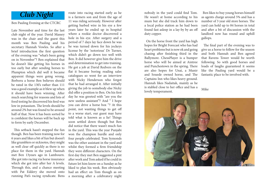## *Club Night*

Ben Pauling Evening at the CTCRC

Late November and time for the last club night of the year. David Massey was in the chair and the guest this month was Ben Pauling and his secretary Hannah Vowles. So after a brief introduction the first question of the evening was "what's been going on in November"? Ben explained that he doesn't like getting his horses in too early but after sending horses to Plumpton which did well it became apparent things were going wrong. Berboru a horse Ben believes should be rated in the 130's rather than 111 was a good example as it blew up when it should have been winning. After much searching for reasons and lots of food testing he discovered his feed was low in potassium. The levels should be around 2% but was found to be around half of that. Now it has been sorted he is confident the horses will be back up to form by early December.

 This setback hasn't stopped the fun though. Ben has been training now for 6 years and likes a bit of fun but doesn't like grumblers or sicknotes, they might as well clear off quickly as there is no place for them in the yard. Hannah met Ben 13years ago in Lambourn. She got into racing via horse insurance which she got into after her A levels. Through this, and a chance meeting with Pat Eddery she moved onto running Pat's racing syndicate. Bens

route into racing started early as he is a farmers son and from the age of 11 was riding seriously. However after getting barbed wire in his eye a few years later he ended up in hospital where a rookie doctor discovered a hole in his eye. After surgery and a period of 7 days lay face down he was he was turned down for his jockeys license by the 'notorious' Dr Turner, which didn't go down too well with Ben. It did however give him the drive and determination to get into training. He got a job at David Redvers on the flat it became boring reading sales catalogues so went for an interview with Nicky Henderson who forgot that he had arranged it. After initially giving the job to somebody else Nicky did offer a position to Ben. On his first day he was greeted with "are you the new useless assistant"? And " I hope you can drive a horse box "? At this point, not wanting things to get off to a worse start, our guest may have told what is known as a lie! Things soon settled down though but Ben did notice that there wasn't much fun in the yard. This was the year Punjabi won the champion hurdle and only four people celebrated. Tom Symonds was the other assistant in the yard and whilst they formed a firm friendship they were different characters. On the first day they met Ben suggested a pint after work and Tom asked if he could in future let him know on a Sunday as he liked to plan his week. Ben obviously had an effect on Tom though as on a morning after a celebratory night

nobody in the yard could find Tom. He wasn't at home according to his mum but she did track him down to a local police station as he had been found fast asleep in a lay-by by an off duty copper.

 On the horse front the yard has high hopes for Bright Forecast who has had heart problems but is now ok and going chasing after finishing third in the Ballymore. ChessPlayer is a bumper horse who will be aimed at Aintree and Punchestown in the spring. There are also hopes for Unai, a Munir and Souede owned horse, and The Captains Inn who likes heavy ground. Hannah likes Nadaitak, mainly as he is stabled close to her office and has a lovely temperament.

 Ben likes to buy young horses himself as agents charge around 5% and has a number of 3 year old store horses. The yard can hold up to 84 horses in total and after a bit of discussion with the landlord now has round and uphill gallops.

 The final part of the evening was to give us a horse to follow for the season and both Hannah and Ben agreed that Ravens Tower would be worth following. So with good horses and loads of laughs guaranteed it seems like the Pauling yard would be a fantastic place to be involved with.

Mike

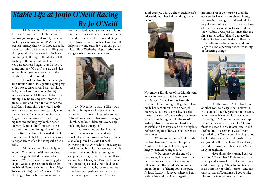# *Stable Life at Jonjo O'Neill Racing By Jo O'Neill*

14<sup>th</sup> November: On a dismally dark wet Thursday, I took Bhutan to Ludlow. Jonjo's youngest son AJ came in the lorry as he was on board! We had the craziest journey there with flooded roads. Water cascaded off the fields, spilling out of clogged ditched; one car lost its front number plate through a flood, it was left floating in the wake! At one bend, there was a Road Closed sign. AJ and I looked at one another: "Go on," he said and, due to the higher ground clearance on the two-box, we didn't flounder.

I must mention how amazingly kind Bhutan (Boo) is: a gentle dapple grey with a sweet disposition. I was absolutely delighted when Boo won, giving AJ his first ever winner. I felt proud to have led him up, like he was my little brother (I did take him and Jonjo Junior to see the last Harry Potter film a few years ago!) Even more proud was mum Jacqui, who clapped us in. As I charged up to them, AJ gave me a big smacker, muddying my face and making my bobble hat sit skewwhiff. Yet, it didn't matter – it was a fab afternoon, and Boo got lots of fuss! By the time the three of us loaded up, it was pitch black, but the roads were easier to negotiate, the floods having subsided a little.

 16th November: I was delighted to go to Cheltenham with Prefontaine. Even though he hated the ground and finished  $7<sup>th</sup>$ , it is always an amazing place to go. I was also pleased to be there for my friend Gemma McQuillan from Nigel Twiston-Davies', for 'her' beloved Splash Of Ginge retired after pulling up in the

Bet Victor Gold Cup. She came and found me afterwards to tell me, all smiles that he retired in one piece. Gemma and Ginge have always been a double act and I recall helping her one Saturday years ago put on his bridle at Wetherby. Happy retirement Ginge – what a servant you were!



 23rd November: Soaring Glory won an Ascot bumper well. He's a talented young horse, who will hopefully go far. A lot of credit goes to his groom Georgia Plumb, who has ridden him every day, including her Sundays off.

 One evening stables, I worked round my horses as usual and was shocked when walking into Arrivederci's stable he pinned his ears flat back, glowering at me. Arrivederci (or Lucky as I nicknamed him) is the sweetest, friendly horse. I did a double take, seeing the dapples on this grey were different. It was definitely not Lucky but Bean In Trouble masquerading as Lucky. Both had been ridden that morning by jockeys and must have been swapped over accidentally when coming off the walker. (That's a

good example why we check each horse's microchip number before taking them racing!)



November's Employee of the Month went jointly to new recruits Sydney Smith and Megan Petrie. Coming from the Northern Horseracing College, both have made brilliant starts to their new job. Megan, 17, is here as a yardie, has also started to run the 'spa', treating the horses with magnetic rugs and in the solarium. Sydney, also 17, has worked hard, been cheerful and has improved her riding lots. Before going to college, she had never sat on a horse.

 2nd December: Jonjo Junior rode out his claim on Adicci at Plumpton. Another milestone ticked off by our hugely talented young jockey.

 7th December: At the end of a busy week, Lucky ran at Sandown, back over two miles. Dream Berry was our other runner. Rachel McMahon joined me in the task of shampooing the pair. At least, Lucky is dappled, whereas Berry is flea-bitten white! After forgetting my

grooming kit at Doncaster, I took the accessories like cross noseband, boots, tongue-tie, breast girth and lead rein but forgot a second bridle. Fortunately, all was ok – we just cleaned Lucky's and added the vital bits. I was just fortunate that the first runner didn't fall and damage the bridle. Rachael and I had a brilliant day, with both horses finishing second. We laughed a lot, especially about my ability of forgetting things.



 10th December: At Fontwell, on another wet, cold day, I took Quarenta. He is looked after by yardman John Dina, who is not a driver so I luckily stepped in. Normally, in 2-3 runner races I lead up the underdog – in the past, It's A Gimme finished second (or is it last?) and so did Prefontaine this season. I wasn't very optimistic but Quey won – hacking round behind the pacemaker and passing him out just after the final fence. It was lovely to lead in a winner for his owners, Sir and Lady Broughton.

 Have all my days racing been wet and cold? December 12<sup>th</sup> definitely was so grey and abysmal that I deemed it too cold to wash grey When You're Ready. He is also another of John's horses – and our only runner at Taunton, so I got to take him for his first run over hurdles.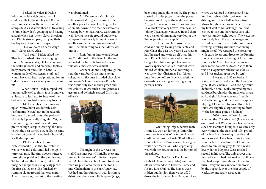I asked the valets if Dickie Johnson could weigh out early so I could saddle in the stable yard. Fortyfive minutes before the race, I waited alongside Alex Walters (head of travelling to Jamie Snowden), gossiping and having a laugh when her jockey Gavin Sheehan and Dickie strolled past, carrying their big bags and Costa coffee cups.

"Do you want an early weigh out?" Gavin asked Alex.

"And you?" Dickie asked me. They both dashed into the changing rooms. Moments later, Dickie stood on the scales in boots and breeches, topless, body protector and silks in hand. A woman made of less sterner stuff tan I would have had heart palpitations. For an 'older' jockey, Dickie is very muscular and fit!

 When You're Ready jumped well, ran on really well to finish fourth and was a pleasure to lead up. So, inspite of the bad weather, we had a good day together.

14th December: The sun shone up at Donny, but it was bitterly cold. Prefontaine (Stevie) ran in the juvenile hurdle and danced round the paddock. Normally I practically drag him! Yet, he was enjoying the sunshine and looked pretty enough (despite wearing blinkers) to win the best turned out. Sadly, he came last on soft ground he loathed – hopefully it will dry up soon!

19th December: I took Notawordofalie (Tabitha) to Exeter. It was so wet and cold, and I led her up in torrential rain. Her tiny hooves skittered through the puddles in the parade ring. Tabby did win the turn out, but I could imagine the sponsor just quickly picked the first plaited one! She finished 6<sup>th</sup>, running ok on ground that was awful. After three races, the rest of the meeting was abandoned.

21st December: March Is On (nicknamed Marty) ran at Ascot. It is another place I always love to go – it's so smart, down to the race day stewards wearing bowler hats! Marty was running well, loving the soft ground but he was hampered and nearly brought down by another runner stumbling in front of him. The main thing was that Marty was unhurt.

Jonjo Junior later won a Lester for Conditional of the Year. All the awards are voted for by his fellow jockeys and this was a massive achievement.

Owners Sir and Lady Broughton sent the yard four Christmas sponge cakes, which flavours included chocolate, millionaire's, lemon and carrot! Each was beautifully iced in their green and red colours. It was such a kind generous gesture and definitely started Christmas off early!



The night of the 23rd was the staff Christmas party! Initially, everyone met up in the owners' suite for the preparty! Here, the alcohol flowed freely and then we piled onto the bus that took us into Cheltenham to the bar Aquavitae. We had another fun party with lots more drink, and there was a limbo pole, Jenga,

beer pong and a photo booth. The photos started off quite proper, then the poses became less classy as the night went on. Any girl who went in with Harrison past 11 o' clock was very brave! Even head lad Johnny Kavanaugh ventured in and there was a vision of him going very low at the limbo, proving he is supple!

Christmas Day proved crisp, cold and sunny. Having been Santa and Mrs Claus the past two years, I was rather half-hearted and wore an elf's hat this year. Katie Stubbs wore a jolly jumper but got too chilly and put her coat on. Work experience lad Jack Wilmot wore his red woollen jumper all morning. I was lucky that Christmas Day fell on my afternoon off, so I spent lunchtime onwards celebrating and eating at my parents' house.



On Boxing Day, superstar mare Annie Mc won under Jonjo Junior first time over fences at Wincanton. She is a credit to her groom Florin 'Fred' Mirea, who calls her his Princess and her regular work rider Matty Gill, who copes very well with her bounciness at the bottom of the gallops.

On New Year's Eve, Ionut Grabriel Ungureaunu (Gaby) and I set off for Scotland with Extreme Force and As You Like (Ruby). The horses were ridden out first lot, then we set off. I drove the initial stretch to Tebay services,

where we watered the horses and had lunch ourselves. Gaby took over the driving until about half an hour from Musselburgh, when we refuelled. It was my first visit to Musselburgh, so I was excited to tick another racecourse off. It took just under eight hours. The welcome was lovely from the yard manager and we unloaded in frosty conditions. It was freezing, creating rumours that racing might be off. We wrapped the horses up with extra layers and drove to the Premier Inn, where we were staying. A luxurious room each! After checking the horses once more, we settled down. Sadly, there was no Hogmanay celebrations for us, and I was tucked up in bed by ten!

I was up at 5:45 to feed and was utterly surprised when the frost was gone! It was a balmy 6˚ and racing would definitely be on. I really enjoyed my stay at Musselburgh, plus the track was smart and delightful. Everyone was friendly and welcoming, and there were bagpipes playing. EF ran well to finish third, but Ruby was slightly disappointing to finish 7th (he has since gone on holiday).

2020 started off well for me when on the 4<sup>th</sup> Arrivederci (Lucky) won over hurdles at Wincanton – his first win since his Hereford bumper. It was my only ever winner at the track and I felt proud of my boy. He is learning to settle and jumps so well. He is handsome too and won the best-turned-out, but I put that down to him being grey. It was a really lovely day as Maypole Class finished second in his race. The only aspect that marred it was I had not avoided an illness that had swept through each hostel in turn. Everyone was knocked sideways by the bug and, over the next couple of weeks, no one really escaped it.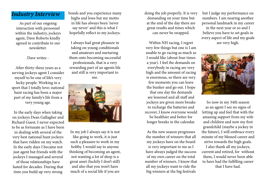### *Industry Interview*

As part of our ongoing interaction with personnel within the industry, jockeys agent, Dave Roberts kindly agreed to contribute to our newsletter.

Dave writes -

After thirty-three years as a serving jockeys agent I consider myself to be one of life's very lucky people. Working in a sport that I totally love; national hunt racing has been a major part of my family's life from a very young age.

In the early days when taking on jockeys Dean Gallagher and Richard Guest, I never expected to be as fortunate as I have been in dealing with several of the very best national hunt jockeys that have ridden on my watch. In the early days I became not just agent but friends with the jockeys I managed and several

of those relationships have lasted for decades. During that time you build up very strong

bonds and you experience many highs and lows but my motto in life has always been 'never say never' and this is what I hopefully reflect to my jockeys.

I always had great pleasure in taking on young conditionals and amateurs and nurturing them onto becoming successful professionals, that is a very rewarding part of an agents life and still is very important to me.



In my job I always say it is not like going to work, it is just such a pleasure to work in my hobby. I would say to anyone thinking of becoming an agent, not wanting a lot of sleep is a great asset (luckily I don't still) and also that you won't have much of a social life if you are

doing the job properly; It is very demanding on your time but at the end of the day there are great results and times which can never be swapped.

Within NH racing, I regret very few things but one is I am unable to go racing as much as I would like (about four times a year). I feel the demands on everybody in racing are very high and the amount of racing is enormous, so there are very few moments you can leave the bunker and go out. I hope that one day the demands are lessened and all staff and jockeys are given more breaks to recharge the batteries and recover, I know everyone would be healthier and better for longer breaks in the calendar.

As the new season progresses the number of winners that all my jockeys have on the board is very important to me as I have always judged the success of my own career on the total number of winners. I know that all my jockeys want to ride the big winners at the big festivals

but I judge my performance on numbers. I am nearing another personal landmark in my career in the next year or so and I believe you have to set goals in every aspect of life and my goals

are very high.



So now in my 34th season as an agent I see no signs of letting up and feel that with the amazing support from my wife and children and now my first grandchild (maybe a jockey in the future), I will embrace every minute of my blessed career and strive towards the high goals. I also thank all my jockeys,

current and retired, for without them, I would never been able to have had the fulfilling career that I have had.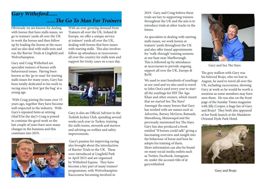## *Gary Witheford...... ......The Go To Man For Trainers*

Obviously we are known for dealing with horses that have stalls issues, we go to trainers' yards all over the UK to work the horses and then follow up by loading the horses at the races and we also deal with stalls tests and run the Barrier Trials at Lingfield and Wolverhampton.

Gary and Craig Witheford are specialist trainers of horses with behavioural issues. Having been known as the 'go to man' for starting stalls issues for many years, Gary has been totally dedicated to his work in racing since he first 'got the bug' at a young age.

 With Craig joining the team over 15 years ago, together they have become well respected in the industry. With Gary's repeated hints at retiring (that'll be the day!) Craig is poised to continue the good work so the last couple of years have seen many changes in the business and this continues into 2019.



With an ever-growing demand from Trainers all over the UK, Ireland & Europe, we offer a unique service at trainers' yards all over the UK, dealing with horses that have issues with starting stalls. This also involves follow up attendance at racecourses all over the country for stalls tests and support for tricky cases on a race day.



Gary is also an Official Advisor to the Turkish Jockey Club, spending several weeks each year in Turkey, training the stalls teams, stewards and starters and advising on welfare and safety improvements.

 Gary's passion for improving racing also brought about the introduction of Barrier Trials in the UK. These were introduced at Lingfield Park in April 2015 and are organised by Witheford Equine. They have become a key part of many trainers' programmes, with Wolverhampton Racecourse becoming involved in

2019. Gary and Craig believe these trials are key to supporting trainers throughout the UK and the aim is to introduce trials at other tracks in the future.

As specialists in dealing with starting stalls issues, we work horses at trainers' yards throughout the UK and also offer timed appointments for 'walk-through' training sessions at our base near Marlborough. This is followed up by attendance at racecourses to provide ongoing support all over the UK, Europe & RoW.

We used to start hundreds of yearlings at our yard and we also used to travel to John Oxx's yard every year to start all the yearlings for HH The Aga Khan and other owners, which meant that we started Sea The Stars! Amongst the many horses that Gary has worked with are names such as Advertise, Barney McGrew, Battaash, Mawatheeq, Mutawaqed and the previously mentioned Sea The Stars. Gary has also produced a book entitled "If horses could talk" giving a fascinating overview and insight into the behaviour of horse and how he adopts his training of them. More information can also be found on many social media outlets such as Twitter, Facebook, Instagram etc under the account title of @ garywitheford



Gary and Sea The Stars

The grey stallion with Gary was his beloved Brujo, who we lost in August, he used to travel all over the UK, including racecourses, showing Gary at work so he would be worth a mention as some members may have seen them. He was also on the front page of the Sunday Times magazine with Jilly Cooper, a huge fan of Gary and Brujo! They both also appeared at her book launch at the Mandarin Oriental Hyde Park Hotel.



Gary and Brujo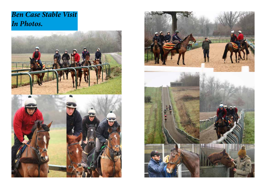# *Ben Case Stable Visit In Photos.*